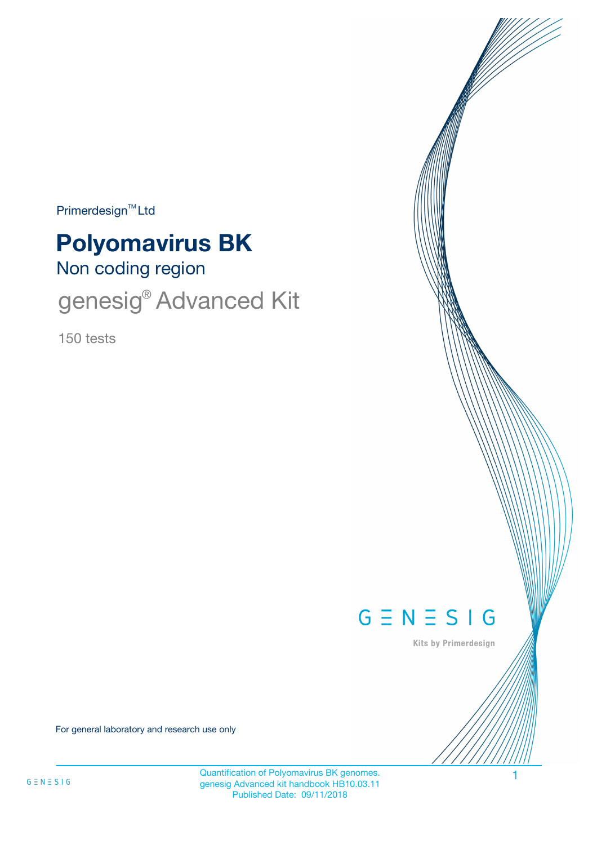$Primerdesign<sup>™</sup>Ltd$ 

# **Polyomavirus BK**

Non coding region

genesig<sup>®</sup> Advanced Kit

150 tests



Kits by Primerdesign

For general laboratory and research use only

Quantification of Polyomavirus BK genomes. 1 genesig Advanced kit handbook HB10.03.11 Published Date: 09/11/2018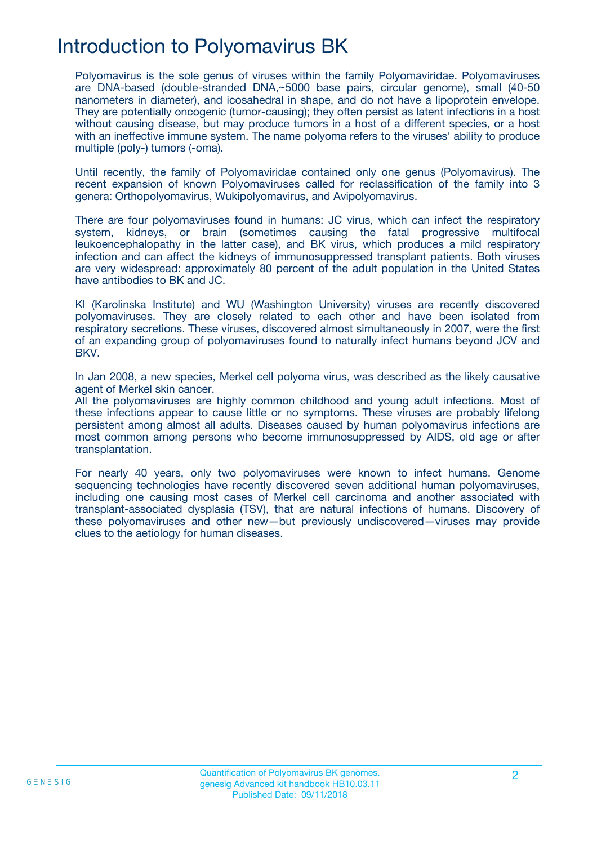### Introduction to Polyomavirus BK

Polyomavirus is the sole genus of viruses within the family Polyomaviridae. Polyomaviruses are DNA-based (double-stranded DNA,~5000 base pairs, circular genome), small (40-50 nanometers in diameter), and icosahedral in shape, and do not have a lipoprotein envelope. They are potentially oncogenic (tumor-causing); they often persist as latent infections in a host without causing disease, but may produce tumors in a host of a different species, or a host with an ineffective immune system. The name polyoma refers to the viruses' ability to produce multiple (poly-) tumors (-oma).

Until recently, the family of Polyomaviridae contained only one genus (Polyomavirus). The recent expansion of known Polyomaviruses called for reclassification of the family into 3 genera: Orthopolyomavirus, Wukipolyomavirus, and Avipolyomavirus.

There are four polyomaviruses found in humans: JC virus, which can infect the respiratory system, kidneys, or brain (sometimes causing the fatal progressive multifocal leukoencephalopathy in the latter case), and BK virus, which produces a mild respiratory infection and can affect the kidneys of immunosuppressed transplant patients. Both viruses are very widespread: approximately 80 percent of the adult population in the United States have antibodies to BK and JC.

KI (Karolinska Institute) and WU (Washington University) viruses are recently discovered polyomaviruses. They are closely related to each other and have been isolated from respiratory secretions. These viruses, discovered almost simultaneously in 2007, were the first of an expanding group of polyomaviruses found to naturally infect humans beyond JCV and BKV.

In Jan 2008, a new species, Merkel cell polyoma virus, was described as the likely causative agent of Merkel skin cancer.

All the polyomaviruses are highly common childhood and young adult infections. Most of these infections appear to cause little or no symptoms. These viruses are probably lifelong persistent among almost all adults. Diseases caused by human polyomavirus infections are most common among persons who become immunosuppressed by AIDS, old age or after transplantation.

For nearly 40 years, only two polyomaviruses were known to infect humans. Genome sequencing technologies have recently discovered seven additional human polyomaviruses, including one causing most cases of Merkel cell carcinoma and another associated with transplant-associated dysplasia (TSV), that are natural infections of humans. Discovery of these polyomaviruses and other new—but previously undiscovered—viruses may provide clues to the aetiology for human diseases.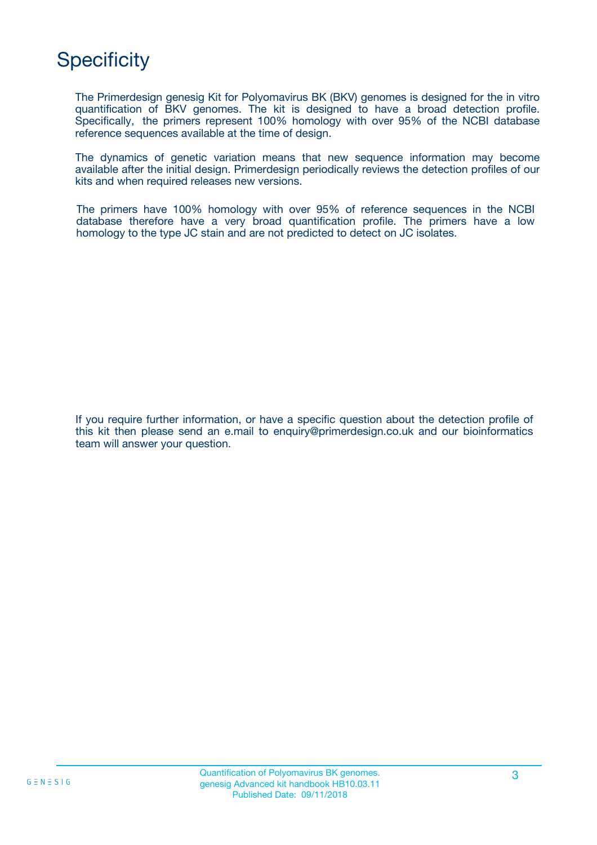# **Specificity**

The Primerdesign genesig Kit for Polyomavirus BK (BKV) genomes is designed for the in vitro quantification of BKV genomes. The kit is designed to have a broad detection profile. Specifically, the primers represent 100% homology with over 95% of the NCBI database reference sequences available at the time of design.

The dynamics of genetic variation means that new sequence information may become available after the initial design. Primerdesign periodically reviews the detection profiles of our kits and when required releases new versions.

The primers have 100% homology with over 95% of reference sequences in the NCBI database therefore have a very broad quantification profile. The primers have a low homology to the type JC stain and are not predicted to detect on JC isolates.

If you require further information, or have a specific question about the detection profile of this kit then please send an e.mail to enquiry@primerdesign.co.uk and our bioinformatics team will answer your question.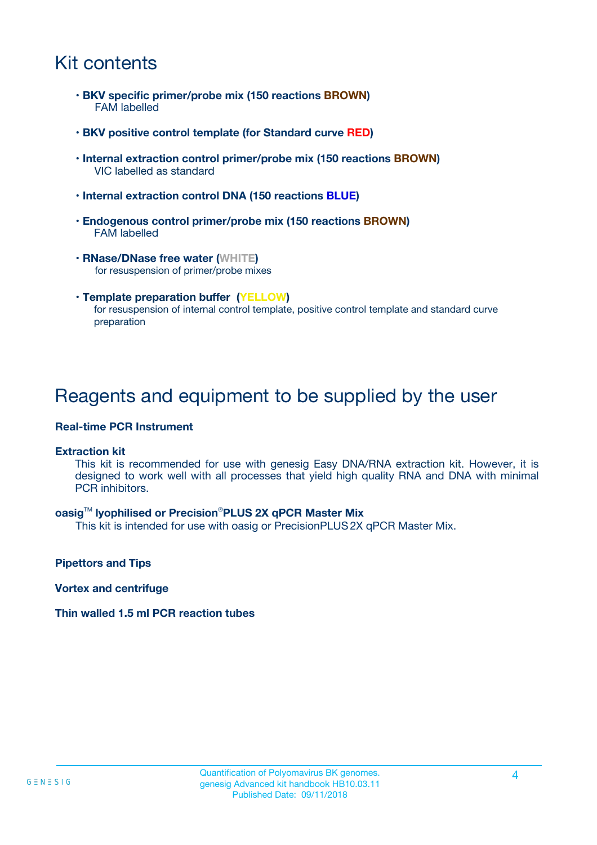### Kit contents

- **BKV specific primer/probe mix (150 reactions BROWN)** FAM labelled
- **BKV positive control template (for Standard curve RED)**
- **Internal extraction control primer/probe mix (150 reactions BROWN)** VIC labelled as standard
- **Internal extraction control DNA (150 reactions BLUE)**
- **Endogenous control primer/probe mix (150 reactions BROWN)** FAM labelled
- **RNase/DNase free water (WHITE)** for resuspension of primer/probe mixes
- **Template preparation buffer (YELLOW)** for resuspension of internal control template, positive control template and standard curve preparation

### Reagents and equipment to be supplied by the user

#### **Real-time PCR Instrument**

#### **Extraction kit**

This kit is recommended for use with genesig Easy DNA/RNA extraction kit. However, it is designed to work well with all processes that yield high quality RNA and DNA with minimal PCR inhibitors.

#### **oasig**TM **lyophilised or Precision**®**PLUS 2X qPCR Master Mix**

This kit is intended for use with oasig or PrecisionPLUS2X qPCR Master Mix.

**Pipettors and Tips**

**Vortex and centrifuge**

#### **Thin walled 1.5 ml PCR reaction tubes**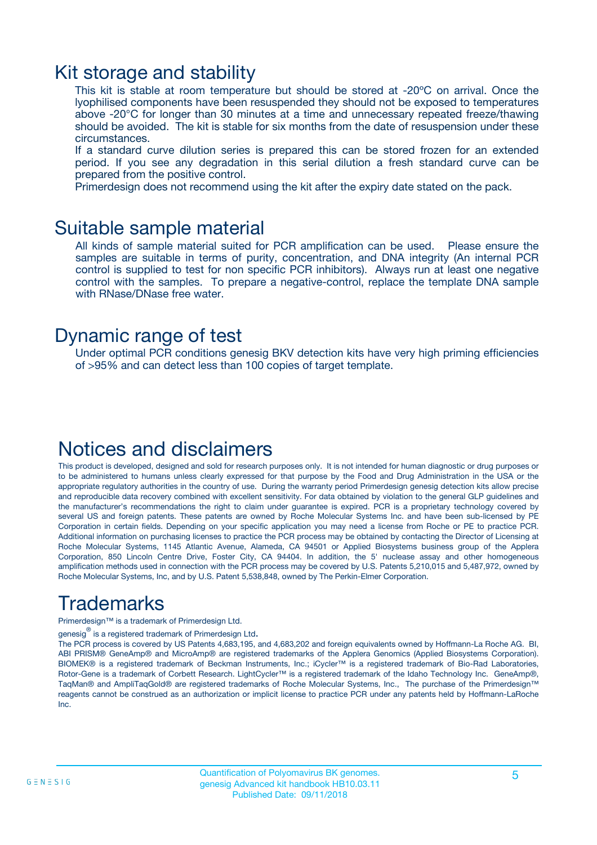### Kit storage and stability

This kit is stable at room temperature but should be stored at -20ºC on arrival. Once the lyophilised components have been resuspended they should not be exposed to temperatures above -20°C for longer than 30 minutes at a time and unnecessary repeated freeze/thawing should be avoided. The kit is stable for six months from the date of resuspension under these circumstances.

If a standard curve dilution series is prepared this can be stored frozen for an extended period. If you see any degradation in this serial dilution a fresh standard curve can be prepared from the positive control.

Primerdesign does not recommend using the kit after the expiry date stated on the pack.

### Suitable sample material

All kinds of sample material suited for PCR amplification can be used. Please ensure the samples are suitable in terms of purity, concentration, and DNA integrity (An internal PCR control is supplied to test for non specific PCR inhibitors). Always run at least one negative control with the samples. To prepare a negative-control, replace the template DNA sample with RNase/DNase free water.

### Dynamic range of test

Under optimal PCR conditions genesig BKV detection kits have very high priming efficiencies of >95% and can detect less than 100 copies of target template.

### Notices and disclaimers

This product is developed, designed and sold for research purposes only. It is not intended for human diagnostic or drug purposes or to be administered to humans unless clearly expressed for that purpose by the Food and Drug Administration in the USA or the appropriate regulatory authorities in the country of use. During the warranty period Primerdesign genesig detection kits allow precise and reproducible data recovery combined with excellent sensitivity. For data obtained by violation to the general GLP guidelines and the manufacturer's recommendations the right to claim under guarantee is expired. PCR is a proprietary technology covered by several US and foreign patents. These patents are owned by Roche Molecular Systems Inc. and have been sub-licensed by PE Corporation in certain fields. Depending on your specific application you may need a license from Roche or PE to practice PCR. Additional information on purchasing licenses to practice the PCR process may be obtained by contacting the Director of Licensing at Roche Molecular Systems, 1145 Atlantic Avenue, Alameda, CA 94501 or Applied Biosystems business group of the Applera Corporation, 850 Lincoln Centre Drive, Foster City, CA 94404. In addition, the 5' nuclease assay and other homogeneous amplification methods used in connection with the PCR process may be covered by U.S. Patents 5,210,015 and 5,487,972, owned by Roche Molecular Systems, Inc, and by U.S. Patent 5,538,848, owned by The Perkin-Elmer Corporation.

# Trademarks

Primerdesign™ is a trademark of Primerdesign Ltd.

genesig $^\circledR$  is a registered trademark of Primerdesign Ltd.

The PCR process is covered by US Patents 4,683,195, and 4,683,202 and foreign equivalents owned by Hoffmann-La Roche AG. BI, ABI PRISM® GeneAmp® and MicroAmp® are registered trademarks of the Applera Genomics (Applied Biosystems Corporation). BIOMEK® is a registered trademark of Beckman Instruments, Inc.; iCycler™ is a registered trademark of Bio-Rad Laboratories, Rotor-Gene is a trademark of Corbett Research. LightCycler™ is a registered trademark of the Idaho Technology Inc. GeneAmp®, TaqMan® and AmpliTaqGold® are registered trademarks of Roche Molecular Systems, Inc., The purchase of the Primerdesign™ reagents cannot be construed as an authorization or implicit license to practice PCR under any patents held by Hoffmann-LaRoche Inc.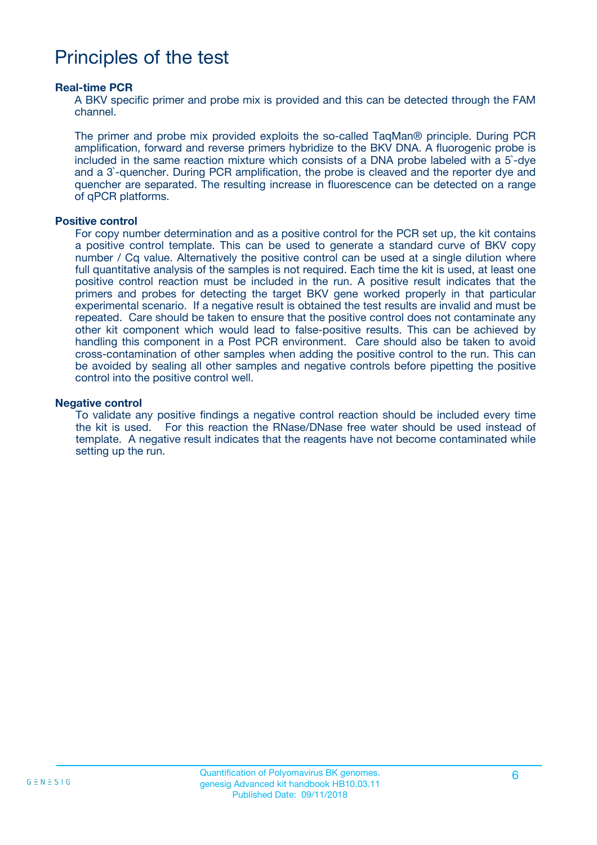### Principles of the test

#### **Real-time PCR**

A BKV specific primer and probe mix is provided and this can be detected through the FAM channel.

The primer and probe mix provided exploits the so-called TaqMan® principle. During PCR amplification, forward and reverse primers hybridize to the BKV DNA. A fluorogenic probe is included in the same reaction mixture which consists of a DNA probe labeled with a 5`-dye and a 3`-quencher. During PCR amplification, the probe is cleaved and the reporter dye and quencher are separated. The resulting increase in fluorescence can be detected on a range of qPCR platforms.

#### **Positive control**

For copy number determination and as a positive control for the PCR set up, the kit contains a positive control template. This can be used to generate a standard curve of BKV copy number / Cq value. Alternatively the positive control can be used at a single dilution where full quantitative analysis of the samples is not required. Each time the kit is used, at least one positive control reaction must be included in the run. A positive result indicates that the primers and probes for detecting the target BKV gene worked properly in that particular experimental scenario. If a negative result is obtained the test results are invalid and must be repeated. Care should be taken to ensure that the positive control does not contaminate any other kit component which would lead to false-positive results. This can be achieved by handling this component in a Post PCR environment. Care should also be taken to avoid cross-contamination of other samples when adding the positive control to the run. This can be avoided by sealing all other samples and negative controls before pipetting the positive control into the positive control well.

#### **Negative control**

To validate any positive findings a negative control reaction should be included every time the kit is used. For this reaction the RNase/DNase free water should be used instead of template. A negative result indicates that the reagents have not become contaminated while setting up the run.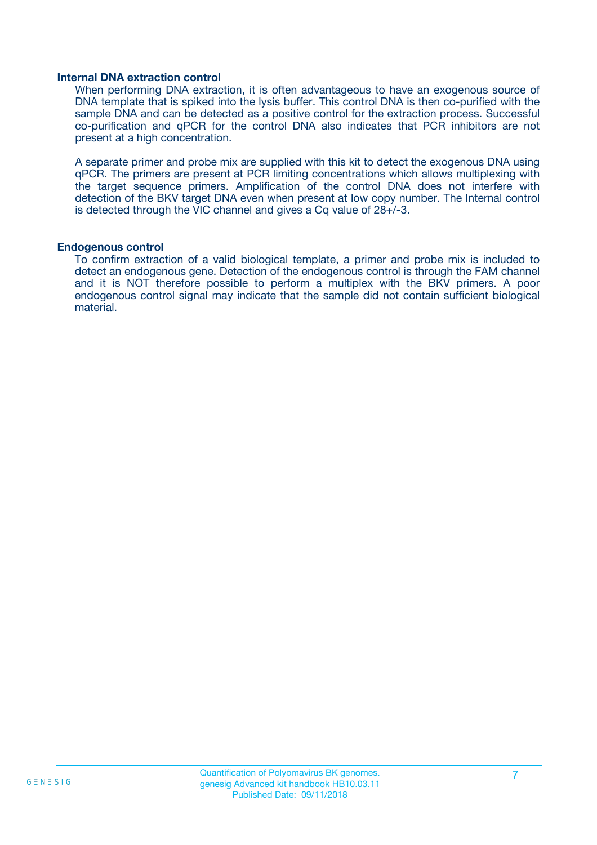#### **Internal DNA extraction control**

When performing DNA extraction, it is often advantageous to have an exogenous source of DNA template that is spiked into the lysis buffer. This control DNA is then co-purified with the sample DNA and can be detected as a positive control for the extraction process. Successful co-purification and qPCR for the control DNA also indicates that PCR inhibitors are not present at a high concentration.

A separate primer and probe mix are supplied with this kit to detect the exogenous DNA using qPCR. The primers are present at PCR limiting concentrations which allows multiplexing with the target sequence primers. Amplification of the control DNA does not interfere with detection of the BKV target DNA even when present at low copy number. The Internal control is detected through the VIC channel and gives a Cq value of 28+/-3.

#### **Endogenous control**

To confirm extraction of a valid biological template, a primer and probe mix is included to detect an endogenous gene. Detection of the endogenous control is through the FAM channel and it is NOT therefore possible to perform a multiplex with the BKV primers. A poor endogenous control signal may indicate that the sample did not contain sufficient biological material.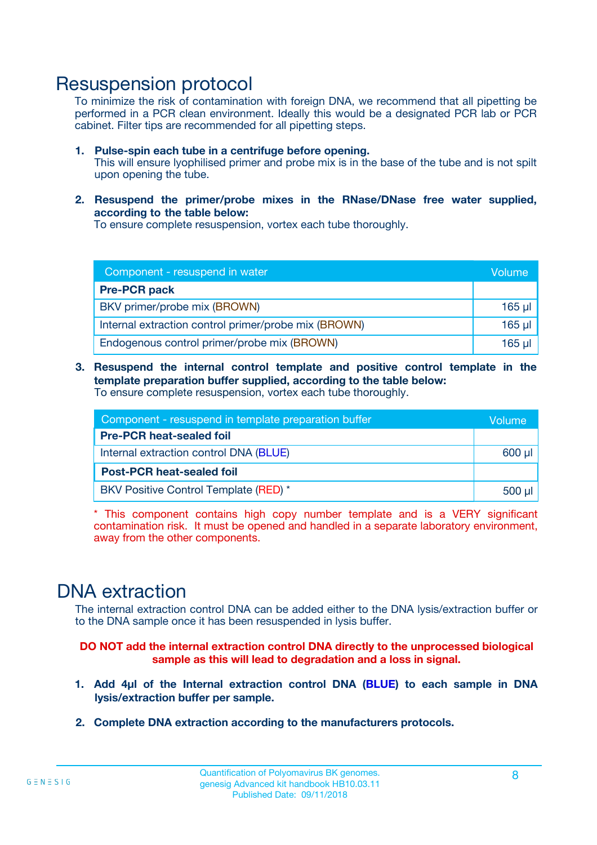### Resuspension protocol

To minimize the risk of contamination with foreign DNA, we recommend that all pipetting be performed in a PCR clean environment. Ideally this would be a designated PCR lab or PCR cabinet. Filter tips are recommended for all pipetting steps.

- **1. Pulse-spin each tube in a centrifuge before opening.** This will ensure lyophilised primer and probe mix is in the base of the tube and is not spilt upon opening the tube.
- **2. Resuspend the primer/probe mixes in the RNase/DNase free water supplied, according to the table below:**

To ensure complete resuspension, vortex each tube thoroughly.

| Component - resuspend in water                       |          |  |
|------------------------------------------------------|----------|--|
| <b>Pre-PCR pack</b>                                  |          |  |
| BKV primer/probe mix (BROWN)                         | $165$ µl |  |
| Internal extraction control primer/probe mix (BROWN) | $165$ µl |  |
| Endogenous control primer/probe mix (BROWN)          | 165 µl   |  |

**3. Resuspend the internal control template and positive control template in the template preparation buffer supplied, according to the table below:** To ensure complete resuspension, vortex each tube thoroughly.

| Component - resuspend in template preparation buffer |          |  |
|------------------------------------------------------|----------|--|
| <b>Pre-PCR heat-sealed foil</b>                      |          |  |
| Internal extraction control DNA (BLUE)               |          |  |
| <b>Post-PCR heat-sealed foil</b>                     |          |  |
| BKV Positive Control Template (RED) *                | $500$ µl |  |

\* This component contains high copy number template and is a VERY significant contamination risk. It must be opened and handled in a separate laboratory environment, away from the other components.

### DNA extraction

The internal extraction control DNA can be added either to the DNA lysis/extraction buffer or to the DNA sample once it has been resuspended in lysis buffer.

**DO NOT add the internal extraction control DNA directly to the unprocessed biological sample as this will lead to degradation and a loss in signal.**

- **1. Add 4µl of the Internal extraction control DNA (BLUE) to each sample in DNA lysis/extraction buffer per sample.**
- **2. Complete DNA extraction according to the manufacturers protocols.**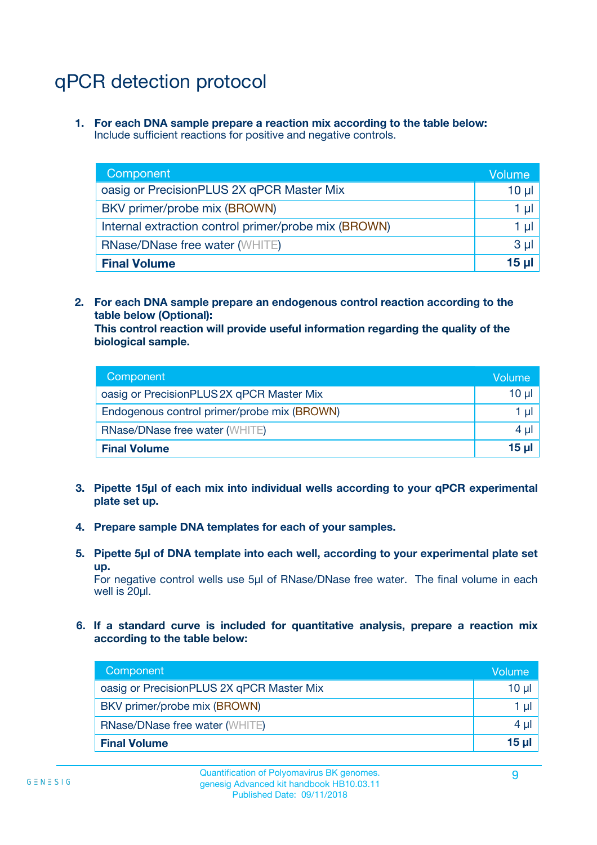# qPCR detection protocol

**1. For each DNA sample prepare a reaction mix according to the table below:** Include sufficient reactions for positive and negative controls.

| Component                                            | Volume   |
|------------------------------------------------------|----------|
| oasig or PrecisionPLUS 2X qPCR Master Mix            | $10 \mu$ |
| BKV primer/probe mix (BROWN)                         | 1 µI     |
| Internal extraction control primer/probe mix (BROWN) | 1 µl     |
| <b>RNase/DNase free water (WHITE)</b>                | $3 \mu$  |
| <b>Final Volume</b>                                  | 15 µl    |

**2. For each DNA sample prepare an endogenous control reaction according to the table below (Optional):**

**This control reaction will provide useful information regarding the quality of the biological sample.**

| Component                                   | Volume   |
|---------------------------------------------|----------|
| oasig or PrecisionPLUS 2X qPCR Master Mix   | $10 \mu$ |
| Endogenous control primer/probe mix (BROWN) | 1 µI     |
| <b>RNase/DNase free water (WHITE)</b>       | $4 \mu$  |
| <b>Final Volume</b>                         | 15 µl    |

- **3. Pipette 15µl of each mix into individual wells according to your qPCR experimental plate set up.**
- **4. Prepare sample DNA templates for each of your samples.**
- **5. Pipette 5µl of DNA template into each well, according to your experimental plate set up.**

For negative control wells use 5µl of RNase/DNase free water. The final volume in each well is 20ul.

**6. If a standard curve is included for quantitative analysis, prepare a reaction mix according to the table below:**

| Component                                 | Volume  |
|-------------------------------------------|---------|
| oasig or PrecisionPLUS 2X qPCR Master Mix | 10 µl   |
| BKV primer/probe mix (BROWN)              | 1 µI    |
| <b>RNase/DNase free water (WHITE)</b>     | $4 \mu$ |
| <b>Final Volume</b>                       | 15 µl   |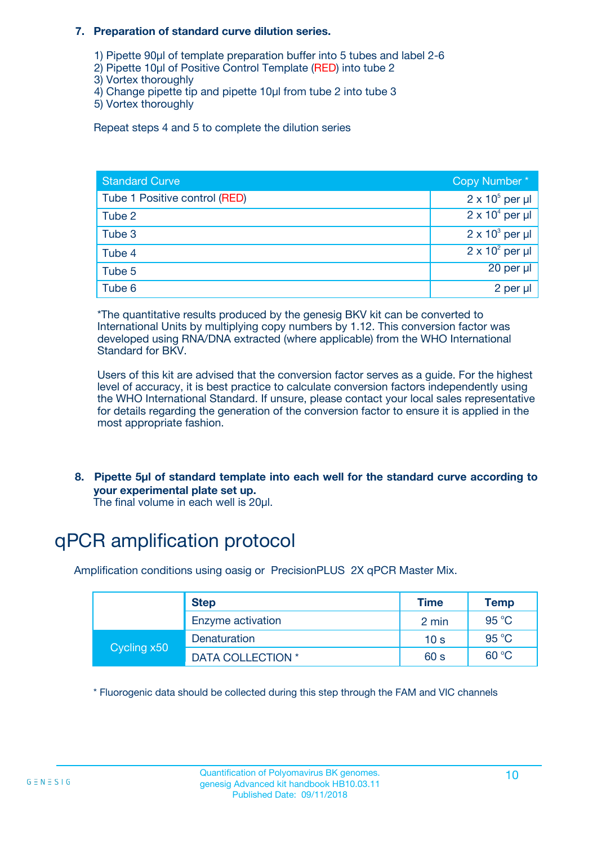#### **7. Preparation of standard curve dilution series.**

- 1) Pipette 90µl of template preparation buffer into 5 tubes and label 2-6
- 2) Pipette 10µl of Positive Control Template (RED) into tube 2
- 3) Vortex thoroughly
- 4) Change pipette tip and pipette 10µl from tube 2 into tube 3
- 5) Vortex thoroughly

Repeat steps 4 and 5 to complete the dilution series

| <b>Standard Curve</b>         | Copy Number*           |
|-------------------------------|------------------------|
| Tube 1 Positive control (RED) | $2 \times 10^5$ per µl |
| Tube 2                        | $2 \times 10^4$ per µl |
| Tube 3                        | $2 \times 10^3$ per µl |
| Tube 4                        | $2 \times 10^2$ per µl |
| Tube 5                        | 20 per µl              |
| Tube 6                        | 2 per µl               |

\*The quantitative results produced by the genesig BKV kit can be converted to International Units by multiplying copy numbers by 1.12. This conversion factor was developed using RNA/DNA extracted (where applicable) from the WHO International Standard for BKV.

Users of this kit are advised that the conversion factor serves as a guide. For the highest level of accuracy, it is best practice to calculate conversion factors independently using the WHO International Standard. If unsure, please contact your local sales representative for details regarding the generation of the conversion factor to ensure it is applied in the most appropriate fashion.

**8. Pipette 5µl of standard template into each well for the standard curve according to your experimental plate set up.**

The final volume in each well is 20µl.

# qPCR amplification protocol

Amplification conditions using oasig or PrecisionPLUS 2X qPCR Master Mix.

|             | <b>Step</b>              | <b>Time</b>     | Temp  |
|-------------|--------------------------|-----------------|-------|
|             | Enzyme activation        | 2 min           | 95 °C |
| Cycling x50 | Denaturation             | 10 <sub>s</sub> | 95 °C |
|             | <b>DATA COLLECTION</b> * | 60 s            | 60 °C |

\* Fluorogenic data should be collected during this step through the FAM and VIC channels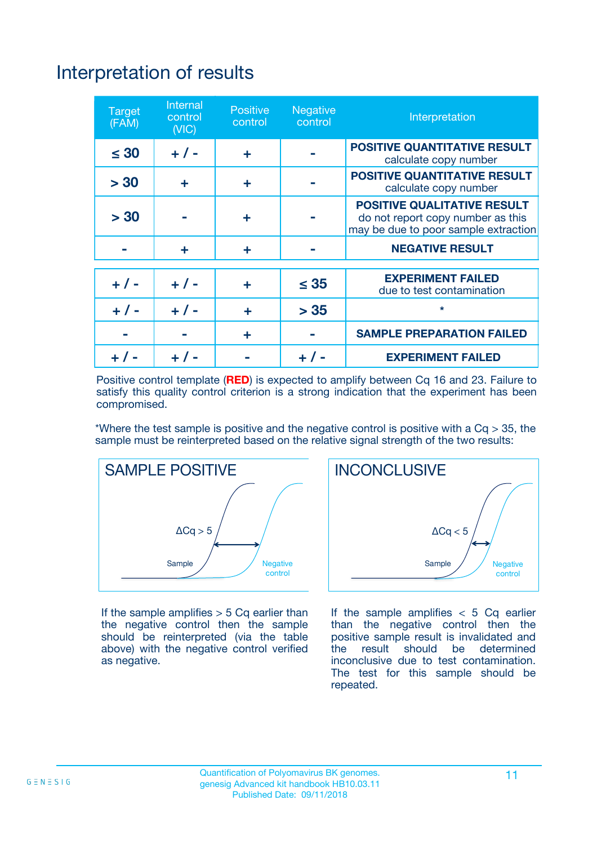# Interpretation of results

| <b>Target</b><br>(FAM) | <b>Internal</b><br>control<br>(NIC) | <b>Positive</b><br>control | <b>Negative</b><br>control | Interpretation                                                                                                  |
|------------------------|-------------------------------------|----------------------------|----------------------------|-----------------------------------------------------------------------------------------------------------------|
| $\leq 30$              | $+ 1 -$                             | ÷                          |                            | <b>POSITIVE QUANTITATIVE RESULT</b><br>calculate copy number                                                    |
| > 30                   | ٠                                   | ÷                          |                            | <b>POSITIVE QUANTITATIVE RESULT</b><br>calculate copy number                                                    |
| > 30                   |                                     | ÷                          |                            | <b>POSITIVE QUALITATIVE RESULT</b><br>do not report copy number as this<br>may be due to poor sample extraction |
|                        | ÷                                   | ÷                          |                            | <b>NEGATIVE RESULT</b>                                                                                          |
| $+ 1 -$                | $+ 1 -$                             | ÷                          | $\leq$ 35                  | <b>EXPERIMENT FAILED</b><br>due to test contamination                                                           |
| $+$ / -                | $+ 1 -$                             | ÷                          | > 35                       | $\star$                                                                                                         |
|                        |                                     | ÷                          |                            | <b>SAMPLE PREPARATION FAILED</b>                                                                                |
|                        |                                     |                            | $+$ /                      | <b>EXPERIMENT FAILED</b>                                                                                        |

Positive control template (**RED**) is expected to amplify between Cq 16 and 23. Failure to satisfy this quality control criterion is a strong indication that the experiment has been compromised.

\*Where the test sample is positive and the negative control is positive with a  $Ca > 35$ , the sample must be reinterpreted based on the relative signal strength of the two results:



If the sample amplifies  $> 5$  Cq earlier than the negative control then the sample should be reinterpreted (via the table above) with the negative control verified as negative.



If the sample amplifies  $< 5$  Cq earlier than the negative control then the positive sample result is invalidated and<br>the result should be determined  $the$  result should be inconclusive due to test contamination. The test for this sample should be repeated.